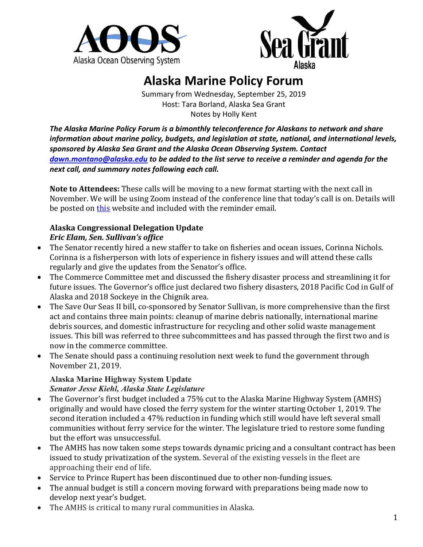



# **Alaska Marine Policy Forum**

Summary from Wednesday, September 25, 2019 Host: Tara Borland, Alaska Sea Grant Notes by Holly Kent

*The Alaska Marine Policy Forum is a bimonthly teleconference for Alaskans to network and share information about marine policy, budgets, and legislation at state, national, and international levels, sponsored by Alaska Sea Grant and the Alaska Ocean Observing System. Contact [dawn.montano@alaska.edu](mailto:dawn.montano@alaska.edu) to be added to the list serve to receive a reminder and agenda for the next call, and summary notes following each call.* 

**Note to Attendees:** These calls will be moving to a new format starting with the next call in November. We will be using Zoom instead of the conference line that today's call is on. Details will be posted on [this](https://aoos.org/ak-marine-policy-forum/) website and included with the reminder email.

#### **Alaska Congressional Delegation Update** *Eric Elam, Sen. Sullivan's office*

- The Senator recently hired a new staffer to take on fisheries and ocean issues, Corinna Nichols. Corinna is a fisherperson with lots of experience in fishery issues and will attend these calls regularly and give the updates from the Senator's office.
- The Commerce Committee met and discussed the fishery disaster process and streamlining it for future issues. The Governor's office just declared two fishery disasters, 2018 Pacific Cod in Gulf of Alaska and 2018 Sockeye in the Chignik area.
- The Save Our Seas II bill, co-sponsored by Senator Sullivan, is more comprehensive than the first act and contains three main points: cleanup of marine debris nationally, international marine debris sources, and domestic infrastructure for recycling and other solid waste management issues. This bill was referred to three subcommittees and has passed through the first two and is now in the commerce committee.
- The Senate should pass a continuing resolution next week to fund the government through November 21, 2019.

### **Alaska Marine Highway System Update**

*Senator Jesse Kiehl, Alaska State Legislature*

- The Governor's first budget included a 75% cut to the Alaska Marine Highway System (AMHS) originally and would have closed the ferry system for the winter starting October 1, 2019. The second iteration included a 47% reduction in funding which still would have left several small communities without ferry service for the winter. The legislature tried to restore some funding but the effort was unsuccessful.
- The AMHS has now taken some steps towards dynamic pricing and a consultant contract has been issued to study privatization of the system. Several of the existing vessels in the fleet are approaching their end of life.
- Service to Prince Rupert has been discontinued due to other non-funding issues.
- The annual budget is still a concern moving forward with preparations being made now to develop next year's budget.
- The AMHS is critical to many rural communities in Alaska.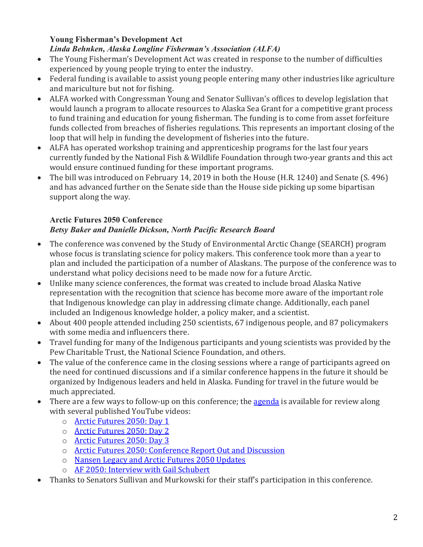#### **Young Fisherman's Development Act**

#### *Linda Behnken, Alaska Longline Fisherman's Association (ALFA)*

- The Young Fisherman's Development Act was created in response to the number of difficulties experienced by young people trying to enter the industry.
- Federal funding is available to assist young people entering many other industries like agriculture and mariculture but not for fishing.
- ALFA worked with Congressman Young and Senator Sullivan's offices to develop legislation that would launch a program to allocate resources to Alaska Sea Grant for a competitive grant process to fund training and education for young fisherman. The funding is to come from asset forfeiture funds collected from breaches of fisheries regulations. This represents an important closing of the loop that will help in funding the development of fisheries into the future.
- ALFA has operated workshop training and apprenticeship programs for the last four years currently funded by the National Fish & Wildlife Foundation through two-year grants and this act would ensure continued funding for these important programs.
- The bill was introduced on February 14, 2019 in both the House (H.R. 1240) and Senate (S. 496) and has advanced further on the Senate side than the House side picking up some bipartisan support along the way.

#### **Arctic Futures 2050 Conference** *Betsy Baker and Danielle Dickson, North Pacific Research Board*

- The conference was convened by the Study of Environmental Arctic Change (SEARCH) program whose focus is translating science for policy makers. This conference took more than a year to plan and included the participation of a number of Alaskans. The purpose of the conference was to understand what policy decisions need to be made now for a future Arctic.
- Unlike many science conferences, the format was created to include broad Alaska Native representation with the recognition that science has become more aware of the important role that Indigenous knowledge can play in addressing climate change. Additionally, each panel included an Indigenous knowledge holder, a policy maker, and a scientist.
- About 400 people attended including 250 scientists, 67 indigenous people, and 87 policymakers with some media and influencers there.
- Travel funding for many of the Indigenous participants and young scientists was provided by the Pew Charitable Trust, the National Science Foundation, and others.
- The value of the conference came in the closing sessions where a range of participants agreed on the need for continued discussions and if a similar conference happens in the future it should be organized by Indigenous leaders and held in Alaska. Funding for travel in the future would be much appreciated.
- There are a few ways to follow-up on this conference; the **agenda** is available for review along with several published YouTube videos:
	- o [Arctic Futures 2050: Day 1](https://www.youtube.com/watch?v=JbvjWq-vY1Y)
	- o [Arctic Futures 2050: Day 2](https://www.youtube.com/watch?v=KUvz9H7PPn8)
	- o [Arctic Futures 2050: Day 3](https://www.youtube.com/watch?v=IoHBZFlokzg)
	- o [Arctic Futures 2050: Conference Report Out and Discussion](https://www.youtube.com/watch?v=zWGU1e0Rc3k)
	- o [Nansen Legacy and Arctic Futures 2050 Updates](https://www.youtube.com/watch?v=2TgFypEDRvk)
	- o [AF 2050: Interview with Gail Schubert](https://www.youtube.com/watch?v=yYse1QmLK94)
- Thanks to Senators Sullivan and Murkowski for their staff's participation in this conference.